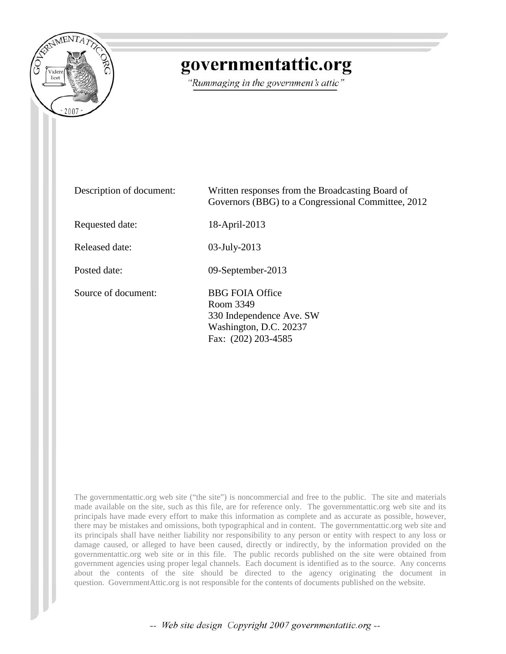

## governmentattic.org

"Rummaging in the government's attic"

| Description of document: | Written responses from the Broadcasting Board of<br>Governors (BBG) to a Congressional Committee, 2012           |
|--------------------------|------------------------------------------------------------------------------------------------------------------|
| Requested date:          | 18-April-2013                                                                                                    |
| Released date:           | $03$ -July-2013                                                                                                  |
| Posted date:             | 09-September-2013                                                                                                |
| Source of document:      | <b>BBG FOIA Office</b><br>Room 3349<br>330 Independence Ave. SW<br>Washington, D.C. 20237<br>Fax: (202) 203-4585 |

The governmentattic.org web site ("the site") is noncommercial and free to the public. The site and materials made available on the site, such as this file, are for reference only. The governmentattic.org web site and its principals have made every effort to make this information as complete and as accurate as possible, however, there may be mistakes and omissions, both typographical and in content. The governmentattic.org web site and its principals shall have neither liability nor responsibility to any person or entity with respect to any loss or damage caused, or alleged to have been caused, directly or indirectly, by the information provided on the governmentattic.org web site or in this file. The public records published on the site were obtained from government agencies using proper legal channels. Each document is identified as to the source. Any concerns about the contents of the site should be directed to the agency originating the document in question. GovernmentAttic.org is not responsible for the contents of documents published on the website.

-- Web site design Copyright 2007 governmentattic.org --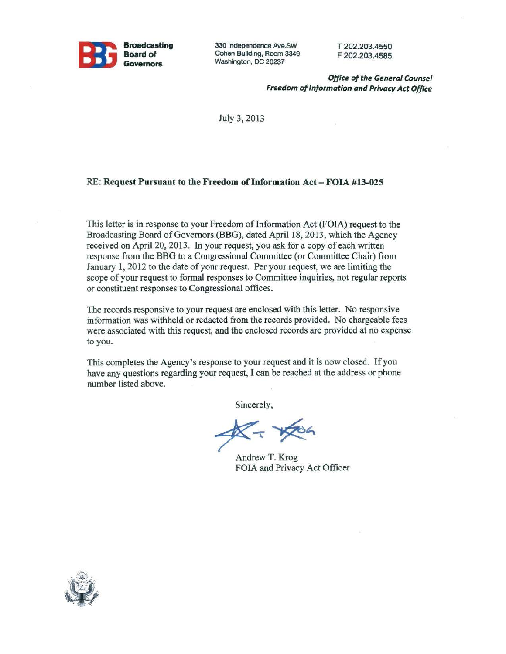

330 Independence Ave.SW Cohen Building, Room 3349 Washington, DC 20237

T 202.203.4550 F 202.203.4585

*Office of the General Counsel Freedom of Information and Privacy Act Office* 

July 3, 2013

## RE: Request Pursuant to the Freedom of Information Act - FOIA #13-025

This letter is in response to your Freedom of Information Act (FOIA) request to the Broadcasting Board of Governors (BBG), dated April 18, 2013, which the Agency received on April 20, 2013. In your request, you ask for a copy of each written response from the BBG to a Congressional Committee (or Committee Chair) from January 1, 2012 to the date of your request. Per your request, we are limiting the scope of your request to formal responses to Committee inquiries, not regular reports or constituent responses to Congressional offices.

The records responsive to your request are enclosed with this letter. No responsive information was withheld or redacted from the records provided. No chargeable fees were associated with this request, and the enclosed records are provided at no expense to you.

This completes the Agency's response to your request and it is now closed. If you have any questions regarding your request, I can be reached at the address or phone number listed above.

Sincerely,

Andrew T. Krog FOIA and Privacy Act Officer

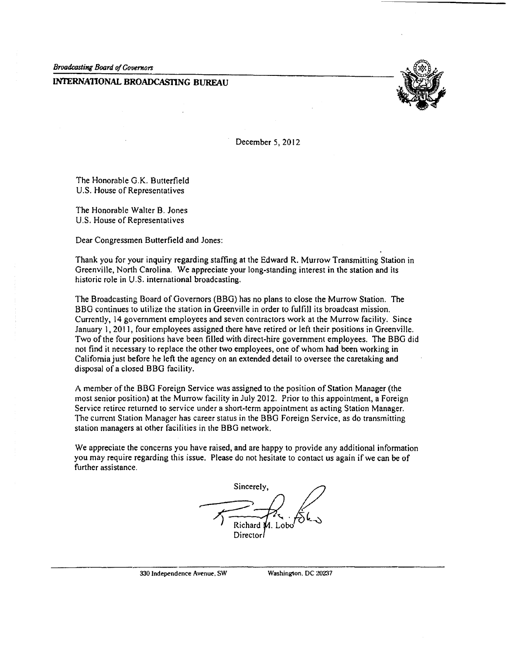*Broadcasting Board of Governors* 

## **INTERNATIONAL BROADCASllNG BUREAU**



December 5, 2012

The Honorable G.K. Butterfield U.S. House of Representatives

The Honorable Walter B. Jones U.S. House of Representatives

Dear Congressmen Butterfield and Jones:

Thank you for your inquiry regarding staffing at the Edward R. Murrow Transmitting Station in Greenville, North Carolina. We appreciate your long-standing interest in the station and its historic role in U.S. international broadcasting.

The Broadcasting Board of Governors (BBG) has no plans to close the Murrow Station. The BBG continues to utilize the station in Greenville in order to fulfill its broadcast mission. Currently, 14 government employees and seven contractors work at the Murrow facility. Since January I, 2011, four employees assigned there have retired or left their positions in Greenville. Two of the four positions have been filled with direct-hire government employees. The BBG did not find it necessary to replace the other two employees, one of whom had been working in California just before he left the agency on an extended detail to oversee the caretaking and disposal of a closed BBG facility.

A member of the BBG Foreign Service was assigned to the position of Station Manager (the most senior position) at the Murrow facility in July 2012. Prior to this appointment, a Foreign Service retiree returned to service under a short-term appointment as acting Station Manager. The current Station Manager has career status in the BBG Foreign Service, as do transmitting station managers at other facilities in the BBG network.

We appreciate the concerns you have raised, and are happy to provide any additional information you may require regarding this issue. Please do not hesitate to contact us again if we can be of further assistance.

Sincerely, Director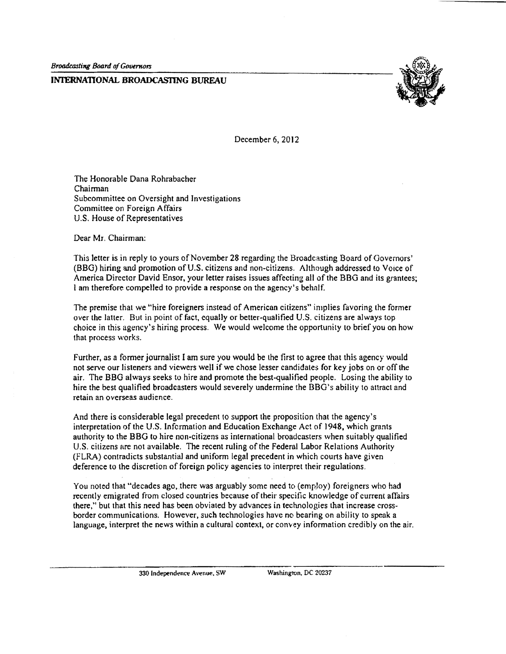## **INTERNATIONAL BROADCASTING BUREAU**



December 6, 2012

The Honorable Dana Rohrabacher Chairman Subcommittee on Oversight and Investigations Committee on Foreign Affairs U.S. House of Representatives

Dear Mr. Chairman:

This letter is in reply to yours of November 28 regarding the Broadcasting Board of Governors' (BBG) hiring and promotion of U.S. citizens and non-citizens. Although addressed to Voice of America Director David Ensor, your letter raises issues affecting all of the BBG and its grantees; lam therefore compelled to provide a response on the agency's behalf.

The premise that we "hire foreigners instead of American citizens" implies favoring the former over the latter. But in point of fact, equally or better-qualified U.S. citizens are always top choice in this agency's hiring process. We would welcome the opportunity to brief you on how that process works.

Further, as a former journalist I am sure you would be the first to agree that this agency would not serve our listeners and viewers well if we chose lesser candidates for key jobs on or off the air. The BBG always seeks to hire and promote the best-qualified people. Losing the ability to hire the best qualified broadcasters would severely undermine the BBG's ability to attract and retain an overseas audience.

And there is considerable legal precedent to support the proposition that the agency's interpretation of the U.S. Information and Education Exchange Act of 1948, which grants authority to the BBG to hire non·citizens as international broadcasters when suitably qualified U.S. citizens are not available. The recent ruling of the Federal Labor Relations Authority (FLRA) contradicts substantial and uniform legal precedent in which courts have given deference to the discretion of foreign policy agencies to interpret their regulations.

You noted that "decades ago, there was arguably some need to (employ) foreigners who had recently emigrated from closed countries because of their specific knowledge of current affairs there," but that this need has been obviated by advances in technologies that increase crossborder communications. However, such technologies have no bearing on ability to speak a language, interpret the news within a cultural context, or convey information credibly on the air.